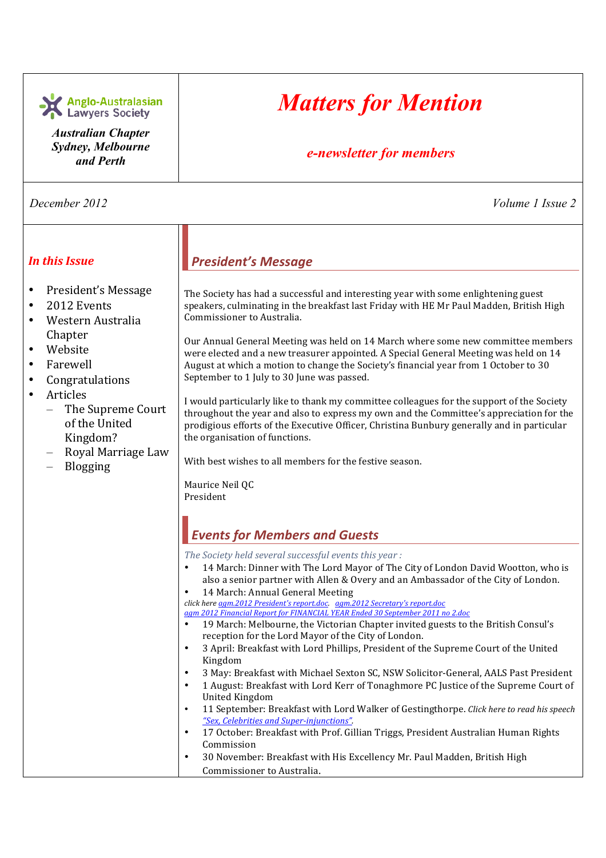| Anglo-Australasian<br>Lawyers Society<br><b>Australian Chapter</b>                                                                                                                                                                                         | <b>Matters for Mention</b>                                                                                                                                                                                                                                                                                                                                                                                                                                                                                                                                                                                                                                                                                                                                                                                                                                                                                                                                                                                                                                                                                                                                                                                                                                                                                                                                                                                                                                                                                                                                                                                                                                                                                                                                                                                                                                                                                                                                                                                                                                                                                                                                                                                                                                                                                    |
|------------------------------------------------------------------------------------------------------------------------------------------------------------------------------------------------------------------------------------------------------------|---------------------------------------------------------------------------------------------------------------------------------------------------------------------------------------------------------------------------------------------------------------------------------------------------------------------------------------------------------------------------------------------------------------------------------------------------------------------------------------------------------------------------------------------------------------------------------------------------------------------------------------------------------------------------------------------------------------------------------------------------------------------------------------------------------------------------------------------------------------------------------------------------------------------------------------------------------------------------------------------------------------------------------------------------------------------------------------------------------------------------------------------------------------------------------------------------------------------------------------------------------------------------------------------------------------------------------------------------------------------------------------------------------------------------------------------------------------------------------------------------------------------------------------------------------------------------------------------------------------------------------------------------------------------------------------------------------------------------------------------------------------------------------------------------------------------------------------------------------------------------------------------------------------------------------------------------------------------------------------------------------------------------------------------------------------------------------------------------------------------------------------------------------------------------------------------------------------------------------------------------------------------------------------------------------------|
| Sydney, Melbourne<br>and Perth                                                                                                                                                                                                                             | e-newsletter for members                                                                                                                                                                                                                                                                                                                                                                                                                                                                                                                                                                                                                                                                                                                                                                                                                                                                                                                                                                                                                                                                                                                                                                                                                                                                                                                                                                                                                                                                                                                                                                                                                                                                                                                                                                                                                                                                                                                                                                                                                                                                                                                                                                                                                                                                                      |
| December 2012                                                                                                                                                                                                                                              | Volume 1 Issue 2                                                                                                                                                                                                                                                                                                                                                                                                                                                                                                                                                                                                                                                                                                                                                                                                                                                                                                                                                                                                                                                                                                                                                                                                                                                                                                                                                                                                                                                                                                                                                                                                                                                                                                                                                                                                                                                                                                                                                                                                                                                                                                                                                                                                                                                                                              |
| <b>In this Issue</b>                                                                                                                                                                                                                                       | <b>President's Message</b>                                                                                                                                                                                                                                                                                                                                                                                                                                                                                                                                                                                                                                                                                                                                                                                                                                                                                                                                                                                                                                                                                                                                                                                                                                                                                                                                                                                                                                                                                                                                                                                                                                                                                                                                                                                                                                                                                                                                                                                                                                                                                                                                                                                                                                                                                    |
| President's Message<br>$\bullet$<br>2012 Events<br>$\bullet$<br>Western Australia<br>Chapter<br>Website<br>Farewell<br>Congratulations<br>Articles<br>$\bullet$<br>The Supreme Court<br>of the United<br>Kingdom?<br>Royal Marriage Law<br><b>Blogging</b> | The Society has had a successful and interesting year with some enlightening guest<br>speakers, culminating in the breakfast last Friday with HE Mr Paul Madden, British High<br>Commissioner to Australia.<br>Our Annual General Meeting was held on 14 March where some new committee members<br>were elected and a new treasurer appointed. A Special General Meeting was held on 14<br>August at which a motion to change the Society's financial year from 1 October to 30<br>September to 1 July to 30 June was passed.<br>I would particularly like to thank my committee colleagues for the support of the Society<br>throughout the year and also to express my own and the Committee's appreciation for the<br>prodigious efforts of the Executive Officer, Christina Bunbury generally and in particular<br>the organisation of functions.<br>With best wishes to all members for the festive season.<br>Maurice Neil QC<br>President<br><b>Events for Members and Guests</b><br>The Society held several successful events this year :<br>14 March: Dinner with The Lord Mayor of The City of London David Wootton, who is<br>$\bullet$<br>also a senior partner with Allen & Overy and an Ambassador of the City of London.<br>14 March: Annual General Meeting<br>$\bullet$<br>click here agm.2012 President's report.doc. agm.2012 Secretary's report.doc<br>agm 2012 Financial Report for FINANCIAL YEAR Ended 30 September 2011 no 2.doc<br>19 March: Melbourne, the Victorian Chapter invited guests to the British Consul's<br>reception for the Lord Mayor of the City of London.<br>3 April: Breakfast with Lord Phillips, President of the Supreme Court of the United<br>$\bullet$<br>Kingdom<br>3 May: Breakfast with Michael Sexton SC, NSW Solicitor-General, AALS Past President<br>٠<br>1 August: Breakfast with Lord Kerr of Tonaghmore PC Justice of the Supreme Court of<br>$\bullet$<br><b>United Kingdom</b><br>11 September: Breakfast with Lord Walker of Gestingthorpe. Click here to read his speech<br>$\bullet$<br>"Sex, Celebrities and Super-injunctions".<br>17 October: Breakfast with Prof. Gillian Triggs, President Australian Human Rights<br>$\bullet$<br>Commission<br>30 November: Breakfast with His Excellency Mr. Paul Madden, British High<br>$\bullet$ |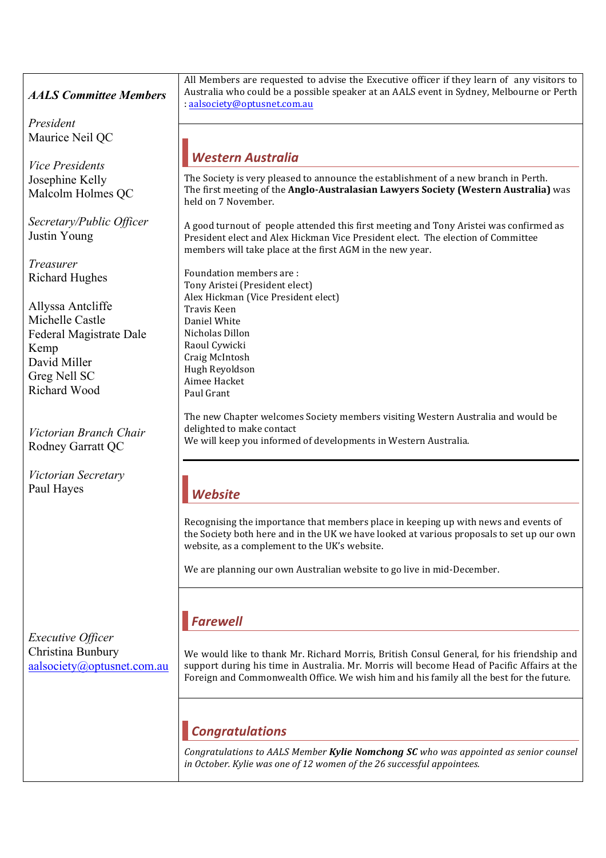### *AALS Committee Members*

*President* Maurice Neil QC

*Vice Presidents* Josephine Kelly Malcolm Holmes QC

*Secretary/Public Officer* Justin Young

*Treasurer* Richard Hughes

Allyssa Antcliffe Michelle Castle Federal Magistrate Dale Kemp David Miller Greg Nell SC Richard Wood

*Victorian Branch Chair* Rodney Garratt QC

*Victorian Secretary* Paul Hayes

All Members are requested to advise the Executive officer if they learn of any visitors to Australia who could be a possible speaker at an AALS event in Sydney, Melbourne or Perth :!aalsociety@optusnet.com.au

### *Western!Australia!*

The Society is very pleased to announce the establishment of a new branch in Perth. The first meeting of the **Anglo-Australasian Lawyers Society (Western Australia)** was held on 7 November.

A good turnout of people attended this first meeting and Tony Aristei was confirmed as President elect and Alex Hickman Vice President elect. The election of Committee members will take place at the first AGM in the new year.

Foundation members are : Tony Aristei (President elect) Alex Hickman (Vice President elect) Travis!Keen Daniel White Nicholas Dillon Raoul Cywicki Craig!McIntosh Hugh!Reyoldson Aimee Hacket Paul Grant

The new Chapter welcomes Society members visiting Western Australia and would be delighted to make contact We will keep you informed of developments in Western Australia.

# *Website!*

Recognising the importance that members place in keeping up with news and events of the Society both here and in the UK we have looked at various proposals to set up our own website, as a complement to the UK's website.

We are planning our own Australian website to go live in mid-December.

## *Farewell*

*Executive Officer* Christina Bunbury aalsociety@optusnet.com.au

We would like to thank Mr. Richard Morris, British Consul General, for his friendship and support during his time in Australia. Mr. Morris will become Head of Pacific Affairs at the Foreign and Commonwealth Office. We wish him and his family all the best for the future.

## *Congratulations*

Congratulations to AALS Member **Kylie Nomchong SC** who was appointed as senior counsel in October. Kylie was one of 12 women of the 26 successful appointees.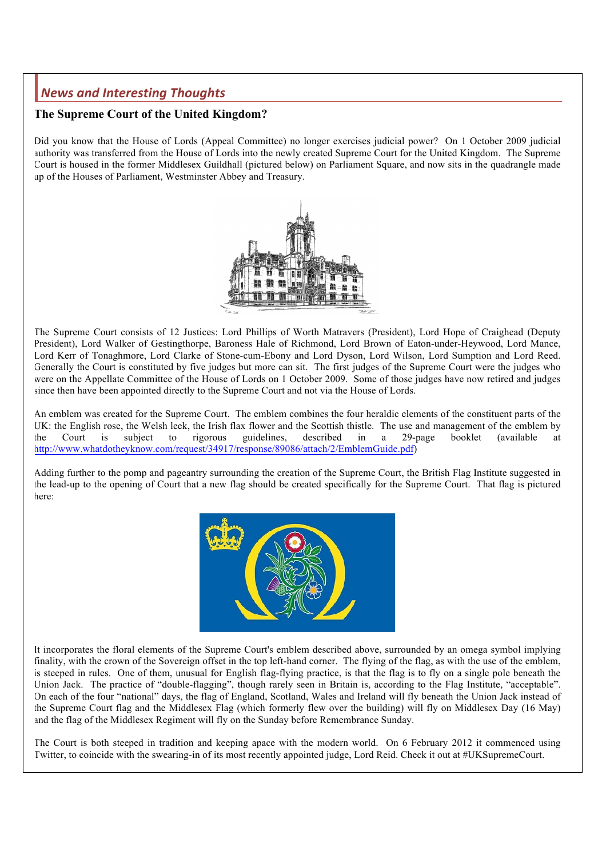## *News!and!Interesting!Thoughts*

#### **The Supreme Court of the United Kingdom?**

Did you know that the House of Lords (Appeal Committee) no longer exercises judicial power? On 1 October 2009 judicial authority was transferred from the House of Lords into the newly created Supreme Court for the United Kingdom. The Supreme Court is housed in the former Middlesex Guildhall (pictured below) on Parliament Square, and now sits in the quadrangle made up of the Houses of Parliament, Westminster Abbey and Treasury.



The Supreme Court consists of 12 Justices: Lord Phillips of Worth Matravers (President), Lord Hope of Craighead (Deputy President), Lord Walker of Gestingthorpe, Baroness Hale of Richmond, Lord Brown of Eaton-under-Heywood, Lord Mance, Lord Kerr of Tonaghmore, Lord Clarke of Stone-cum-Ebony and Lord Dyson, Lord Wilson, Lord Sumption and Lord Reed. Generally the Court is constituted by five judges but more can sit. The first judges of the Supreme Court were the judges who were on the Appellate Committee of the House of Lords on 1 October 2009. Some of those judges have now retired and judges since then have been appointed directly to the Supreme Court and not via the House of Lords.

An emblem was created for the Supreme Court. The emblem combines the four heraldic elements of the constituent parts of the UK: the English rose, the Welsh leek, the Irish flax flower and the Scottish thistle. The use and management of the emblem by the Court is subject to rigorous guidelines, described in a 29-page booklet (available at http://www.whatdotheyknow.com/request/34917/response/89086/attach/2/EmblemGuide.pdf)

Adding further to the pomp and pageantry surrounding the creation of the Supreme Court, the British Flag Institute suggested in the lead-up to the opening of Court that a new flag should be created specifically for the Supreme Court. That flag is pictured here:



It incorporates the floral elements of the Supreme Court's emblem described above, surrounded by an omega symbol implying finality, with the crown of the Sovereign offset in the top left-hand corner. The flying of the flag, as with the use of the emblem, is steeped in rules. One of them, unusual for English flag-flying practice, is that the flag is to fly on a single pole beneath the Union Jack. The practice of "double-flagging", though rarely seen in Britain is, according to the Flag Institute, "acceptable". On each of the four "national" days, the flag of England, Scotland, Wales and Ireland will fly beneath the Union Jack instead of the Supreme Court flag and the Middlesex Flag (which formerly flew over the building) will fly on Middlesex Day (16 May) and the flag of the Middlesex Regiment will fly on the Sunday before Remembrance Sunday.

The Court is both steeped in tradition and keeping apace with the modern world. On 6 February 2012 it commenced using Twitter, to coincide with the swearing-in of its most recently appointed judge, Lord Reid. Check it out at #UKSupremeCourt.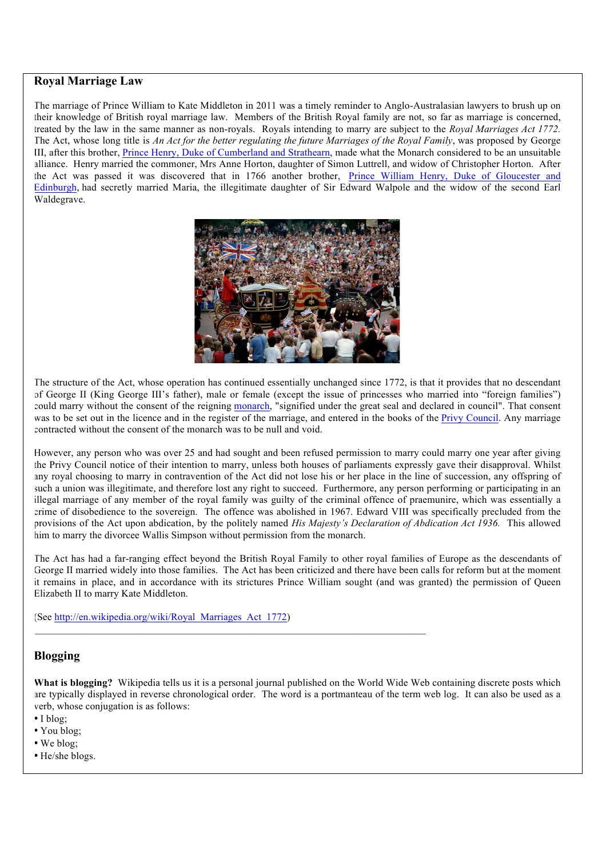#### **Royal Marriage Law**

The marriage of Prince William to Kate Middleton in 2011 was a timely reminder to Anglo-Australasian lawyers to brush up on their knowledge of British royal marriage law. Members of the British Royal family are not, so far as marriage is concerned, treated by the law in the same manner as non-royals. Royals intending to marry are subject to the *Royal Marriages Act 1772.* The Act, whose long title is *An Act for the better regulating the future Marriages of the Royal Family*, was proposed by George III, after this brother, Prince Henry, Duke of Cumberland and Strathearn, made what the Monarch considered to be an unsuitable alliance. Henry married the commoner, Mrs Anne Horton, daughter of Simon Luttrell, and widow of Christopher Horton. After the Act was passed it was discovered that in 1766 another brother, Prince William Henry, Duke of Gloucester and Edinburgh, had secretly married Maria, the illegitimate daughter of Sir Edward Walpole and the widow of the second Earl Waldegrave.



The structure of the Act, whose operation has continued essentially unchanged since 1772, is that it provides that no descendant of George II (King George III's father), male or female (except the issue of princesses who married into "foreign families") could marry without the consent of the reigning monarch, "signified under the great seal and declared in council". That consent was to be set out in the licence and in the register of the marriage, and entered in the books of the Privy Council. Any marriage contracted without the consent of the monarch was to be null and void.

However, any person who was over 25 and had sought and been refused permission to marry could marry one year after giving the Privy Council notice of their intention to marry, unless both houses of parliaments expressly gave their disapproval. Whilst any royal choosing to marry in contravention of the Act did not lose his or her place in the line of succession, any offspring of such a union was illegitimate, and therefore lost any right to succeed. Furthermore, any person performing or participating in an illegal marriage of any member of the royal family was guilty of the criminal offence of praemunire, which was essentially a crime of disobedience to the sovereign. The offence was abolished in 1967. Edward VIII was specifically precluded from the provisions of the Act upon abdication, by the politely named *His Majesty's Declaration of Abdication Act 1936.* This allowed him to marry the divorcee Wallis Simpson without permission from the monarch.

The Act has had a far-ranging effect beyond the British Royal Family to other royal families of Europe as the descendants of George II married widely into those families. The Act has been criticized and there have been calls for reform but at the moment it remains in place, and in accordance with its strictures Prince William sought (and was granted) the permission of Queen Elizabeth II to marry Kate Middleton.

(See http://en.wikipedia.org/wiki/Royal\_Marriages\_Act\_1772)

 $\_$  , and the set of the set of the set of the set of the set of the set of the set of the set of the set of the set of the set of the set of the set of the set of the set of the set of the set of the set of the set of th

#### **Blogging**

**What is blogging?** Wikipedia tells us it is a personal journal published on the World Wide Web containing discrete posts which are typically displayed in reverse chronological order. The word is a portmanteau of the term web log. It can also be used as a verb, whose conjugation is as follows:

- I blog;
- You blog;
- We blog;
- He/she blogs.